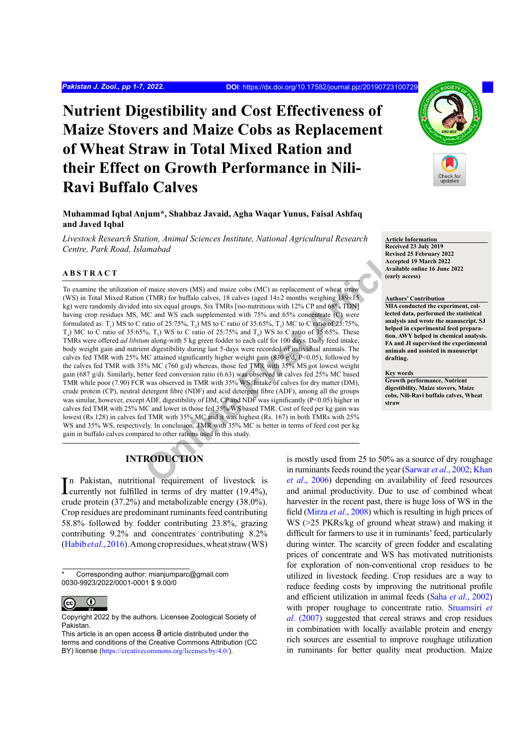# **Nutrient Digestibility and Cost Effectiveness of Maize Stovers and Maize Cobs as Replacement of Wheat Straw in Total Mixed Ration and their Effect on Growth Performance in Nili-Ravi Buffalo Calves**

**Muhammad Iqbal Anjum\*, Shahbaz Javaid, Agha Waqar Yunus, Faisal Ashfaq and Javed Iqbal**

*Livestock Research Station, Animal Sciences Institute, National Agricultural Research Centre, Park Road, Islamabad*

# **ABSTRACT**

Articlear Stowers (MS) and maize cobs (MC) as replacement of wheat straw<br>
(TMR) for buffalo calves, 18 calves (aged 14+2 months weighing 189+15<br>
Into six equal groups. Six TMRs [iso-nutritious with 12% CP and 68% TDN]<br>
MLA To examine the utilization of maize stovers (MS) and maize cobs (MC) as replacement of wheat straw (WS) in Total Mixed Ration (TMR) for buffalo calves, 18 calves (aged  $14\pm2$  months weighing  $189\pm15$ ) kg) were randomly divided into six equal groups. Six TMRs [iso-nutritious with 12% CP and 68% TDN] having crop residues MS, MC and WS each supplemented with 75% and 65% concentrate (C) were formulated as:  $T_1$ ) MS to C ratio of 25:75%,  $T_2$ ) MS to C ratio of 35:65%,  $T_3$ ) MC to C ratio of 25:75%,  $T_4$ ) MC to C ratio of 35:65%,  $T_5$ ) WS to C ratio of 25:75% and  $T_6$ ) WS to C ratio of 35:65%. These TMRs were offered *ad libitum* along-with 5 kg green fodder to each calf for 100 days. Daily feed intake, body weight gain and nutrient digestibility during last 5-days were recorded of individual animals. The calves fed TMR with 25% MC attained significantly higher weight gain (830 g/d, P<0.05), followed by the calves fed TMR with 35% MC (760 g/d) whereas, those fed TMR with 35% MS got lowest weight gain (687 g/d). Similarly, better feed conversion ratio (6.63) was observed in calves fed 25% MC based TMR while poor (7.90) FCR was observed in TMR with 35% WS. Intake of calves for dry matter (DM), crude protein (CP), neutral detergent fibre (NDF) and acid detergent fibre (ADF), among all the groups was similar, however, except ADF, digestibility of DM, CP and NDF was significantly (P<0.05) higher in calves fed TMR with 25% MC and lower in those fed 35% WS based TMR. Cost of feed per kg gain was lowest (Rs 128) in calves fed TMR with 35% MC and it was highest (Rs. 167) in both TMRs with 25% WS and 35% WS, respectively. In conclusion, TMR with 35% MC is better in terms of feed cost per kg gain in buffalo calves compared to other rations used in this study.

# **INTRODUCTION**

In Pakistan, nutritional requirement of livestock is<br>currently not fulfilled in terms of dry matter (19.4%), currently not fulfilled in terms of dry matter (19.4%), crude protein (37.2%) and metabolizable energy (38.0%). Crop residues are predominant ruminants feed contributing 58.8% followed by fodder contributing 23.8%, grazing contributing 9.2% and concentrates contributing 8.2% [\(Habib](#page-5-0) *et al*., 2016). Among crop residues, wheat straw (WS)

Corresponding author: mianjumparc@gmail.com 0030-9923/2022/0001-0001 \$ 9.00/0



Copyright 2022 by the authors. Licensee Zoological Society of Pakistan.

is mostly used from 25 to 50% as a source of dry roughage in ruminants feeds round the year ([Sarwar](#page-5-1) *et al*., 2002; [Khan](#page-5-2) *et al*., 2006) depending on availability of feed resources and animal productivity. Due to use of combined wheat harvester in the recent past, there is huge loss of WS in the field (Mirza *et al*[., 2008](#page-5-3)) which is resulting in high prices of WS (>25 PKRs/kg of ground wheat straw) and making it difficult for farmers to use it in ruminants' feed, particularly during winter. The scarcity of green fodder and escalating prices of concentrate and WS has motivated nutritionists for exploration of non-conventional crop residues to be utilized in livestock feeding. Crop residues are a way to reduce feeding costs by improving the nutritional profile and efficient utilization in animal feeds (Saha *et al*[., 2002](#page-5-4)) with proper roughage to concentrate ratio. [Sruamsiri](#page-5-5) *et al*[. \(2007\)](#page-5-5) suggested that cereal straws and crop residues in combination with locally available protein and energy rich sources are essential to improve roughage utilization in ruminants for better quality meat production. Maize



**Article Information Received 23 July 2019 Revised 25 February 2022 Accepted 19 March 2022 Available online 16 June 2022 (early access)**

#### **Authors' Contribution**

**MIA conducted the experiment, collected data, performed the statistical analysis and wrote the manuscript. SJ helped in experimental feed preparation. AWY helped in chemical analysis. FA and JI supervised the experimental animals and assisted in manuscript drafting.**

#### **Key words Growth performance, Nutrient**

**digestibility, Maize stovers, Maize cobs, Nili-Ravi buffalo calves, Wheat straw**

This article is an open access  $\Theta$  article distributed under the terms and conditions of the Creative Commons Attribution (CC BY) license (<https://creativecommons.org/licenses/by/4.0/>).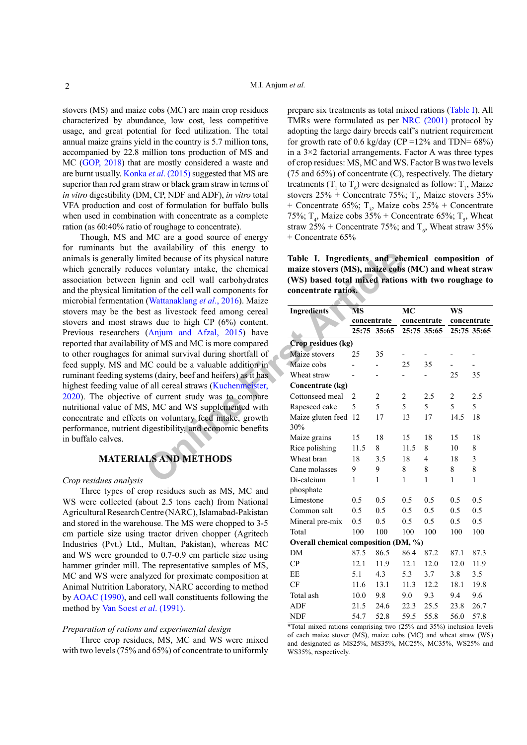stovers (MS) and maize cobs (MC) are main crop residues characterized by abundance, low cost, less competitive usage, and great potential for feed utilization. The total annual maize grains yield in the country is 5.7 million tons, accompanied by 22.8 million tons production of MS and MC [\(GOP, 2018](#page-5-6)) that are mostly considered a waste and are burnt usually. Konka *et al*[. \(2015\)](#page-5-7) suggested that MS are superior than red gram straw or black gram straw in terms of *in vitro* digestibility (DM, CP, NDF and ADF), *in vitro* total VFA production and cost of formulation for buffalo bulls when used in combination with concentrate as a complete ration (as 60:40% ratio of roughage to concentrate).

inted because of its physical nature<br> **Table I. Ingredients and ch**<br>
ees voluntary intake, the chemical<br>
maize stovers (MS), maize cobs<br>
ginin and cell wall carbohydrates<br>
(WS) based total mixed rations<br>
(Natianal Mixed ar Though, MS and MC are a good source of energy for ruminants but the availability of this energy to animals is generally limited because of its physical nature which generally reduces voluntary intake, the chemical association between lignin and cell wall carbohydrates and the physical limitation of the cell wall components for microbial fermentation (Wattanaklang *et al*., 2016). Maize stovers may be the best as livestock feed among cereal stovers and most straws due to high CP (6%) content. Previous researchers (Anjum and Afzal, 2015) have reported that availability of MS and MC is more compared to other roughages for animal survival during shortfall of feed supply. MS and MC could be a valuable addition in ruminant feeding systems (dairy, beef and heifers) as it has highest feeding value of all cereal straws (Kuchenmeister, [2020](#page-5-9)). The objective of current study was to compare nutritional value of MS, MC and WS supplemented with concentrate and effects on voluntary feed intake, growth performance, nutrient digestibility, and economic benefits in buffalo calves.

# **MATERIALS AND METHODS**

#### *Crop residues analysis*

Three types of crop residues such as MS, MC and WS were collected (about 2.5 tons each) from National Agricultural Research Centre (NARC), Islamabad-Pakistan and stored in the warehouse. The MS were chopped to 3-5 cm particle size using tractor driven chopper (Agritech Industries (Pvt.) Ltd., Multan, Pakistan), whereas MC and WS were grounded to 0.7-0.9 cm particle size using hammer grinder mill. The representative samples of MS, MC and WS were analyzed for proximate composition at Animal Nutrition Laboratory, NARC according to method by [AOAC \(1990\)](#page-5-10), and cell wall constituents following the method by [Van Soest](#page-5-11) *et al*. (1991).

## *Preparation of rations and experimental design*

Three crop residues, MS, MC and WS were mixed with two levels (75% and 65%) of concentrate to uniformly

prepare six treatments as total mixed rations [\(Table I](#page-1-0)). All TMRs were formulated as per [NRC \(2001\)](#page-5-12) protocol by adopting the large dairy breeds calf's nutrient requirement for growth rate of 0.6 kg/day (CP =  $12\%$  and TDN=  $68\%$ ) in a  $3\times 2$  factorial arrangements. Factor A was three types of crop residues: MS, MC and WS. Factor B was two levels (75 and 65%) of concentrate (C), respectively. The dietary treatments ( $T_1$  to  $T_6$ ) were designated as follow:  $T_1$ , Maize stovers  $25\%$  + Concentrate 75%;  $T_2$ , Maize stovers 35% + Concentrate 65%;  $T_3$ , Maize cobs 25% + Concentrate 75%;  $T_4$ , Maize cobs 35% + Concentrate 65%;  $T_5$ , Wheat straw 25% + Concentrate 75%; and  $T_c$ , Wheat straw 35% + Concentrate 65%

<span id="page-1-0"></span>**Table I. Ingredients and chemical composition of maize stovers (MS), maize cobs (MC) and wheat straw (WS) based total mixed rations with two roughage to concentrate ratios.**

| <b>Ingredients</b>                   | MS          |                | <b>MC</b>      |             | <b>WS</b>      |              |
|--------------------------------------|-------------|----------------|----------------|-------------|----------------|--------------|
|                                      | concentrate |                |                | concentrate | concentrate    |              |
|                                      | 25:75       | 35:65          |                | 25:75 35:65 |                | 25:75 35:65  |
| Crop residues (kg)                   |             |                |                |             |                |              |
| Maize stovers                        | 25          | 35             |                |             |                |              |
| Maize cobs                           |             |                | 25             | 35          |                |              |
| Wheat straw                          |             |                |                |             | 25             | 35           |
| Concentrate (kg)                     |             |                |                |             |                |              |
| Cottonseed meal                      | 2           | $\overline{2}$ | $\overline{c}$ | 2.5         | $\overline{c}$ | 2.5          |
| Rapeseed cake                        | 5           | 5              | 5              | 5           | 5              | 5            |
| Maize gluten feed<br>30%             | 12          | 17             | 13             | 17          | 14.5           | 18           |
| Maize grains                         | 15          | 18             | 15             | 18          | 15             | 18           |
| Rice polishing                       | 11.5        | 8              | 11.5           | 8           | 10             | 8            |
| Wheat bran                           | 18          | 3.5            | 18             | 4           | 18             | 3            |
| Cane molasses                        | 9           | 9              | 8              | 8           | 8              | 8            |
| Di-calcium                           | 1           | 1              | 1              | 1           | 1              | $\mathbf{1}$ |
| phosphate                            |             |                |                |             |                |              |
| Limestone                            | 0.5         | 0.5            | 0.5            | 0.5         | 0.5            | 0.5          |
| Common salt                          | 0.5         | 0.5            | 0.5            | 0.5         | 0.5            | 0.5          |
| Mineral pre-mix                      | 0.5         | 0.5            | 0.5            | 0.5         | 0.5            | 0.5          |
| Total                                | 100         | 100            | 100            | 100         | 100            | 100          |
| Overall chemical composition (DM, %) |             |                |                |             |                |              |
| <b>DM</b>                            | 87.5        | 86.5           | 86.4           | 87.2        | 87.1           | 87.3         |
| CP                                   | 12.1        | 11.9           | 12.1           | 12.0        | 12.0           | 11.9         |
| EE                                   | 5.1         | 4.3            | 5.3            | 3.7         | 3.8            | 3.5          |
| CF                                   | 11.6        | 13.1           | 11.3           | 12.2        | 18.1           | 19.8         |
| Total ash                            | 10.0        | 9.8            | 9.0            | 9.3         | 9.4            | 9.6          |
| ADF                                  | 21.5        | 24.6           | 22.3           | 25.5        | 23.8           | 26.7         |
| <b>NDF</b>                           | 54.7        | 52.8           | 59.5           | 55.8        | 56.0           | 57.8         |

\*Total mixed rations comprising two (25% and 35%) inclusion levels of each maize stover (MS), maize cobs (MC) and wheat straw (WS) and designated as MS25%, MS35%, MC25%, MC35%, WS25% and WS35%, respectively.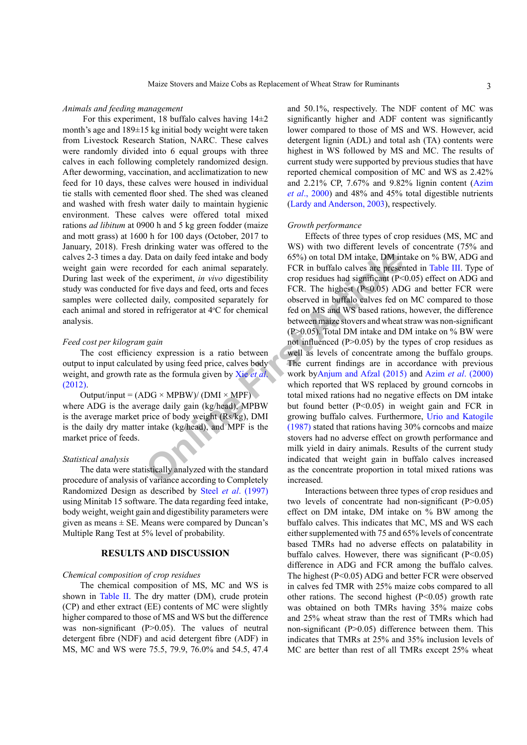## *Animals and feeding management*

For this experiment, 18 buffalo calves having  $14\pm 2$ month's age and 189±15 kg initial body weight were taken from Livestock Research Station, NARC. These calves were randomly divided into 6 equal groups with three calves in each following completely randomized design. After deworming, vaccination, and acclimatization to new feed for 10 days, these calves were housed in individual tie stalls with cemented floor shed. The shed was cleaned and washed with fresh water daily to maintain hygienic environment. These calves were offered total mixed rations *ad libitum* at 0900 h and 5 kg green fodder (maize and mott grass) at 1600 h for 100 days (October, 2017 to January, 2018). Fresh drinking water was offered to the calves 2-3 times a day. Data on daily feed intake and body weight gain were recorded for each animal separately. During last week of the experiment, *in vivo* digestibility study was conducted for five days and feed, orts and feces samples were collected daily, composited separately for each animal and stored in refrigerator at 4°C for chemical analysis.

# *Feed cost per kilogram gain*

The cost efficiency expression is a ratio between output to input calculated by using feed price, calves body weight, and growth rate as the formula given by Xie *et al*. [\(2012\)](#page-6-1).

 $Output$  =  $(ADC \times MPBW) / (DMI \times MPF)$ where ADG is the average daily gain (kg/head), MPBW is the average market price of body weight (Rs/kg), DMI is the daily dry matter intake (kg/head), and MPF is the market price of feeds.

# *Statistical analysis*

The data were statistically analyzed with the standard procedure of analysis of variance according to Completely Randomized Design as described by Steel *et al*[. \(1997\)](#page-5-13) using Minitab 15 software. The data regarding feed intake, body weight, weight gain and digestibility parameters were given as means  $\pm$  SE. Means were compared by Duncan's Multiple Rang Test at 5% level of probability.

## **RESULTS AND DISCUSSION**

# *Chemical composition of crop residues*

The chemical composition of MS, MC and WS is shown in [Table II.](#page-3-0) The dry matter (DM), crude protein (CP) and ether extract (EE) contents of MC were slightly higher compared to those of MS and WS but the difference was non-significant (P>0.05). The values of neutral detergent fibre (NDF) and acid detergent fibre (ADF) in MS, MC and WS were 75.5, 79.9, 76.0% and 54.5, 47.4

and 50.1%, respectively. The NDF content of MC was significantly higher and ADF content was significantly lower compared to those of MS and WS. However, acid detergent lignin (ADL) and total ash (TA) contents were highest in WS followed by MS and MC. The results of current study were supported by previous studies that have reported chemical composition of MC and WS as 2.42% and 2.21% CP, 7.67% and 9.82% lignin content ([Azim](#page-5-14) *et al*[., 2000\)](#page-5-14) and 48% and 45% total digestible nutrients ([Lardy and Anderson, 2003](#page-5-15)), respectively.

#### *Growth performance*

Data on daily feed intake and body<br>
for the article conduction of the state and body<br>
FCR in buffalo calves are present<br>
experiment, *in vivo* digestibility<br>
FCR in buffalo calves are present<br>
experiment, *in vivo* digest Effects of three types of crop residues (MS, MC and WS) with two different levels of concentrate (75% and 65%) on total DM intake, DM intake on % BW, ADG and FCR in buffalo calves are presented in [Table III](#page-3-1). Type of crop residues had significant  $(P<0.05)$  effect on ADG and FCR. The highest  $(P<0.05)$  ADG and better FCR were observed in buffalo calves fed on MC compared to those fed on MS and WS based rations, however, the difference between maize stovers and wheat straw was non-significant (P>0.05). Total DM intake and DM intake on % BW were not influenced (P>0.05) by the types of crop residues as well as levels of concentrate among the buffalo groups. The current findings are in accordance with previous work byAnjum and Afzal (2015) and Azim *et al*[. \(2000\)](#page-5-14) which reported that WS replaced by ground corncobs in total mixed rations had no negative effects on DM intake but found better (P<0.05) in weight gain and FCR in growing buffalo calves. Furthermore, [Urio and Katogile](#page-5-16) (1987) stated that rations having 30% corncobs and maize stovers had no adverse effect on growth performance and milk yield in dairy animals. Results of the current study indicated that weight gain in buffalo calves increased as the concentrate proportion in total mixed rations was increased.

> Interactions between three types of crop residues and two levels of concentrate had non-significant  $(P>0.05)$ effect on DM intake, DM intake on % BW among the buffalo calves. This indicates that MC, MS and WS each either supplemented with 75 and 65% levels of concentrate based TMRs had no adverse effects on palatability in buffalo calves. However, there was significant  $(P<0.05)$ difference in ADG and FCR among the buffalo calves. The highest (P<0.05) ADG and better FCR were observed in calves fed TMR with 25% maize cobs compared to all other rations. The second highest  $(P<0.05)$  growth rate was obtained on both TMRs having 35% maize cobs and 25% wheat straw than the rest of TMRs which had non-significant (P>0.05) difference between them. This indicates that TMRs at 25% and 35% inclusion levels of MC are better than rest of all TMRs except 25% wheat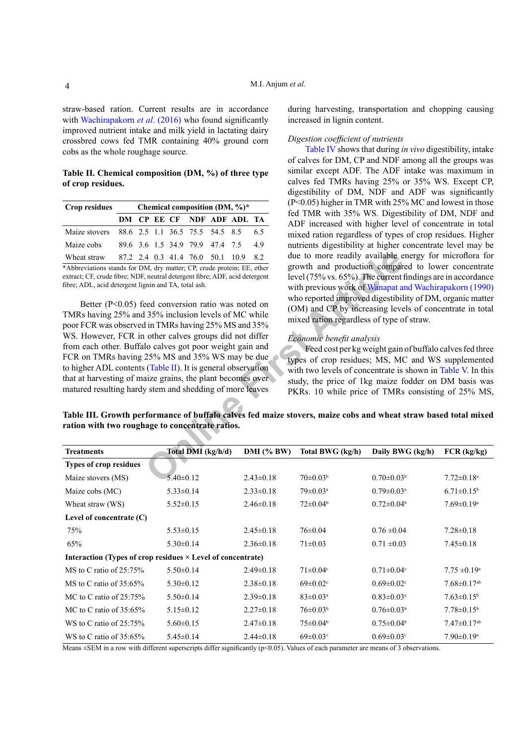straw-based ration. Current results are in accordance with [Wachirapakorn](#page-6-2) *et al.* (2016) who found significantly improved nutrient intake and milk yield in lactating dairy crossbred cows fed TMR containing 40% ground corn cobs as the whole roughage source.

<span id="page-3-0"></span>**Table II. Chemical composition (DM, %) of three type of crop residues.**

| Crop residues | Chemical composition (DM, %)* |  |  |  |                                 |  |                                      |    |
|---------------|-------------------------------|--|--|--|---------------------------------|--|--------------------------------------|----|
|               | DM CP EE CF NDF ADF ADL TA    |  |  |  |                                 |  |                                      |    |
| Maize stovers |                               |  |  |  | 88.6 2.5 1.1 36.5 75.5 54.5 8.5 |  |                                      | 65 |
| Maize cobs    |                               |  |  |  | 89.6 3.6 1.5 34.9 79.9 47.4 7.5 |  |                                      | 49 |
| Wheat straw   |                               |  |  |  |                                 |  | 87.2 2.4 0.3 41.4 76.0 50.1 10.9 8.2 |    |

\*Abbreviations stands for DM, dry matter; CP, crude protein; EE, ether extract; CF, crude fibre; NDF, neutral detergent fibre; ADF, acid detergent fibre; ADL, acid detergent lignin and TA, total ash.

4 0.3 41.4 76.0 50.1 10.9 8.2<br>
M, dry matter; CP, crude protein; EE, ether<br>
meutral detergent fibre; ADF, acid detergent<br>
with previous work of Wanapat a<br>
with previous work of Wanapat a<br>
with previous work of Wanapat<br>
ed Better (P<0.05) feed conversion ratio was noted on TMRs having 25% and 35% inclusion levels of MC while poor FCR was observed in TMRs having 25% MS and 35% WS. However, FCR in other calves groups did not differ from each other. Buffalo calves got poor weight gain and FCR on TMRs having 25% MS and 35% WS may be due to higher ADL contents (Table II). It is general observation that at harvesting of maize grains, the plant becomes over matured resulting hardy stem and shedding of more leaves

during harvesting, transportation and chopping causing increased in lignin content.

## *Digestion coefficient of nutrients*

[Table IV](#page-4-0) shows that during *in vivo* digestibility, intake of calves for DM, CP and NDF among all the groups was similar except ADF. The ADF intake was maximum in calves fed TMRs having 25% or 35% WS. Except CP, digestibility of DM, NDF and ADF was significantly (P<0.05) higher in TMR with 25% MC and lowest in those fed TMR with 35% WS. Digestibility of DM, NDF and ADF increased with higher level of concentrate in total mixed ration regardless of types of crop residues. Higher nutrients digestibility at higher concentrate level may be due to more readily available energy for microflora for growth and production compared to lower concentrate level (75% vs. 65%). The current findings are in accordance with previous work of [Wanapat and Wachirapakorn \(1990\)](#page-6-3) who reported improved digestibility of DM, organic matter (OM) and CP by increasing levels of concentrate in total mixed ration regardless of type of straw.

## *Economic benefit analysis*

Feed cost per kg weight gain of buffalo calves fed three types of crop residues; MS, MC and WS supplemented with two levels of concentrate is shown in [Table V](#page-4-1). In this study, the price of 1kg maize fodder on DM basis was PKRs. 10 while price of TMRs consisting of 25% MS,

<span id="page-3-1"></span>**Table III. Growth performance of buffalo calves fed maize stovers, maize cobs and wheat straw based total mixed ration with two roughage to concentrate ratios.**

| <b>Treatments</b>                                                  | Total DMI (kg/h/d) | $DMI$ (% BW)    | Total BWG (kg/h)           | Daily BWG (kg/h)             | FCR (kg/kg)                   |
|--------------------------------------------------------------------|--------------------|-----------------|----------------------------|------------------------------|-------------------------------|
| <b>Types of crop residues</b>                                      |                    |                 |                            |                              |                               |
| Maize stovers (MS)                                                 | $5.40 \pm 0.12$    | $2.43 \pm 0.18$ | $70 \pm 0.03^b$            | $0.70 \pm 0.03^b$            | $7.72 \pm 0.18$ <sup>a</sup>  |
| Maize cobs (MC)                                                    | $5.33 \pm 0.14$    | $2.33 \pm 0.18$ | $79 \pm 0.03$ <sup>a</sup> | $0.79 \pm 0.03$ <sup>a</sup> | $6.71 \pm 0.15^b$             |
| Wheat straw (WS)                                                   | $5.52 \pm 0.15$    | $2.46 \pm 0.18$ | $72 \pm 0.04^b$            | $0.72 \pm 0.04^b$            | $7.69 \pm 0.19$ <sup>a</sup>  |
| Level of concentrate $(C)$                                         |                    |                 |                            |                              |                               |
| 75%                                                                | $5.53 \pm 0.15$    | $2.45 \pm 0.18$ | $76 \pm 0.04$              | $0.76 \pm 0.04$              | $7.28 \pm 0.18$               |
| 65%                                                                | $5.30\pm0.14$      | $2.36\pm0.18$   | $71 \pm 0.03$              | $0.71 \pm 0.03$              | $7.45 \pm 0.18$               |
| Interaction (Types of crop residues $\times$ Level of concentrate) |                    |                 |                            |                              |                               |
| MS to C ratio of $25:75\%$                                         | $5.50\pm0.14$      | $2.49\pm0.18$   | $71 \pm 0.04$ <sup>c</sup> | $0.71 \pm 0.04$ °            | $7.75 \pm 0.19^{\text{a}}$    |
| MS to C ratio of $35:65\%$                                         | $5.30 \pm 0.12$    | $2.38 \pm 0.18$ | $69 \pm 0.02$ <sup>c</sup> | $0.69 \pm 0.02$ <sup>c</sup> | $7.68 \pm 0.17$ <sup>ab</sup> |
| MC to C ratio of $25:75\%$                                         | $5.50 \pm 0.14$    | $2.39\pm0.18$   | $83 \pm 0.03$ <sup>a</sup> | $0.83 \pm 0.03^{\text{a}}$   | $7.63 \pm 0.15^b$             |
| MC to C ratio of $35:65\%$                                         | $5.15 \pm 0.12$    | $2.27 \pm 0.18$ | $76 \pm 0.03^b$            | $0.76 \pm 0.03^b$            | $7.78 \pm 0.15^b$             |
| WS to C ratio of $25:75\%$                                         | $5.60 \pm 0.15$    | $2.47\pm0.18$   | $75 \pm 0.04^b$            | $0.75 \pm 0.04^b$            | $7.47 \pm 0.17$ <sup>ab</sup> |
| WS to C ratio of $35:65\%$                                         | $5.45 \pm 0.14$    | $2.44\pm0.18$   | $69 \pm 0.03$ <sup>c</sup> | $0.69 \pm 0.03$ <sup>c</sup> | $7.90 \pm 0.19$ <sup>a</sup>  |

Means  $\pm$ SEM in a row with different superscripts differ significantly ( $p$ <0.05). Values of each parameter are means of 3 observations.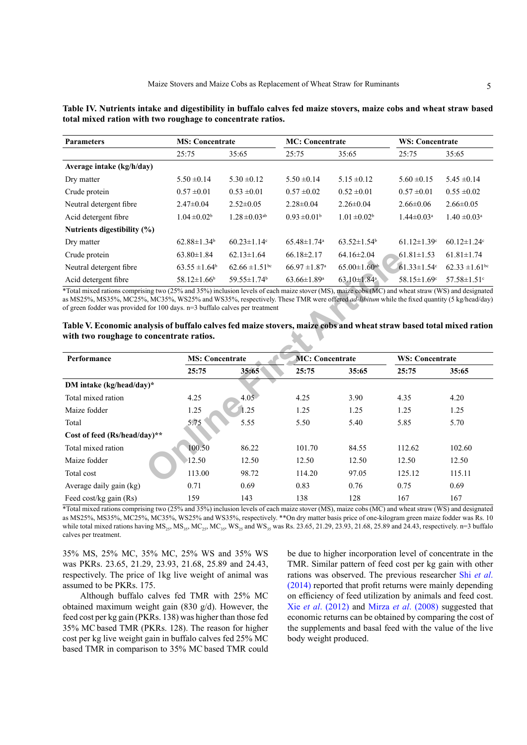<span id="page-4-0"></span>

| Table IV. Nutrients intake and digestibility in buffalo calves fed maize stovers, maize cobs and wheat straw based |  |  |  |  |
|--------------------------------------------------------------------------------------------------------------------|--|--|--|--|
| total mixed ration with two roughage to concentrate ratios.                                                        |  |  |  |  |

| <b>Parameters</b>           | <b>MS</b> : Concentrate       |                                | <b>MC</b> : Concentrate       |                                | <b>WS: Concentrate</b>        |                                |
|-----------------------------|-------------------------------|--------------------------------|-------------------------------|--------------------------------|-------------------------------|--------------------------------|
|                             | 25:75                         | 35:65                          | 25:75                         | 35:65                          | 25:75                         | 35:65                          |
| Average intake (kg/h/day)   |                               |                                |                               |                                |                               |                                |
| Dry matter                  | $5.50 \pm 0.14$               | $5.30 \pm 0.12$                | $5.50 \pm 0.14$               | $5.15 \pm 0.12$                | $5.60 \pm 0.15$               | $5.45 \pm 0.14$                |
| Crude protein               | $0.57 \pm 0.01$               | $0.53 \pm 0.01$                | $0.57 \pm 0.02$               | $0.52 \pm 0.01$                | $0.57 \pm 0.01$               | $0.55 \pm 0.02$                |
| Neutral detergent fibre     | $2.47\pm0.04$                 | $2.52\pm0.05$                  | $2.28 \pm 0.04$               | $2.26 \pm 0.04$                | $2.66\pm0.06$                 | $2.66\pm0.05$                  |
| Acid detergent fibre        | $1.04 \pm 0.02^b$             | $1.28 \pm 0.03$ <sup>ab</sup>  | $0.93 \pm 0.01^b$             | $1.01 \pm 0.02^b$              | $1.44 \pm 0.03$ <sup>a</sup>  | $1.40 \pm 0.03$ <sup>a</sup>   |
| Nutrients digestibility (%) |                               |                                |                               |                                |                               |                                |
| Dry matter                  | $62.88 \pm 1.34$ <sup>b</sup> | $60.23 \pm 1.14$ <sup>c</sup>  | $65.48 \pm 1.74$ <sup>a</sup> | $63.52 \pm 1.54$ <sup>b</sup>  | $61.12 \pm 1.39$ °            | 60 $12 \pm 1$ 2.4°             |
| Crude protein               | $63.80 \pm 1.84$              | $62.13 \pm 1.64$               | $66.18\pm2.17$                | $64.16 \pm 2.04$               | $61.81 \pm 1.53$              | $61.81 \pm 1.74$               |
| Neutral detergent fibre     | $63.55 \pm 1.64^b$            | $62.66 \pm 1.51$ <sup>bc</sup> | $66.97 \pm 1.87$ <sup>a</sup> | $65.00 \pm 1.60$ <sup>ab</sup> | $61.33 \pm 1.54$ °            | $62.33 \pm 1.61$ <sup>bc</sup> |
| Acid detergent fibre        | $58.12 \pm 1.66$ <sup>b</sup> | $59.55 \pm 1.74$ <sup>b</sup>  | $63.66 \pm 1.89$ <sup>a</sup> | $63.10 \pm 1.84$ <sup>a</sup>  | $58.15 \pm 1.69$ <sup>c</sup> | $57.58 \pm 1.51$ <sup>c</sup>  |

<span id="page-4-1"></span>

| Table V. Economic analysis of buffalo calves fed maize stovers, maize cobs and wheat straw based total mixed ration |  |  |  |
|---------------------------------------------------------------------------------------------------------------------|--|--|--|
| with two roughage to concentrate ratios.                                                                            |  |  |  |

| Crude protein                                                                                                                                                                                                                                                                                                                                                                         | $63.80 \pm 1.84$              | $62.13 \pm 1.64$               | $66.18 \pm 2.17$              | $64.16 \pm 2.04$               | $61.81 \pm 1.53$              | $61.81 \pm 1.74$               |
|---------------------------------------------------------------------------------------------------------------------------------------------------------------------------------------------------------------------------------------------------------------------------------------------------------------------------------------------------------------------------------------|-------------------------------|--------------------------------|-------------------------------|--------------------------------|-------------------------------|--------------------------------|
| Neutral detergent fibre                                                                                                                                                                                                                                                                                                                                                               | $63.55 \pm 1.64^b$            | $62.66 \pm 1.51$ <sup>bc</sup> | $66.97 \pm 1.87$ <sup>a</sup> | $65.00 \pm 1.60$ <sup>ab</sup> | $61.33 \pm 1.54$ <sup>c</sup> | $62.33 \pm 1.61$ <sup>bc</sup> |
| Acid detergent fibre                                                                                                                                                                                                                                                                                                                                                                  | $58.12 \pm 1.66$ <sup>b</sup> | $59.55 \pm 1.74$ <sup>b</sup>  | $63.66 \pm 1.89$ <sup>a</sup> | $63.10 \pm 1.84$ <sup>a</sup>  | $58.15 \pm 1.69$ <sup>c</sup> | $57.58 \pm 1.51$ <sup>c</sup>  |
| *Total mixed rations comprising two (25% and 35%) inclusion levels of each maize stover (MS), maize cobs (MC) and wheat straw (WS) and designated<br>as MS25%, MS35%, MC25%, MC35%, WS25% and WS35%, respectively. These TMR were offered <i>ad-libitum</i> while the fixed quantity (5 kg/head/day)<br>of green fodder was provided for 100 days. $n=3$ buffalo calves per treatment |                               |                                |                               |                                |                               |                                |
| Table V. Economic analysis of buffalo calves fed maize stovers, maize cobs and wheat straw based total mixed ration                                                                                                                                                                                                                                                                   |                               |                                |                               |                                |                               |                                |
| with two roughage to concentrate ratios.                                                                                                                                                                                                                                                                                                                                              |                               |                                |                               |                                |                               |                                |
| Performance                                                                                                                                                                                                                                                                                                                                                                           | <b>MS: Concentrate</b>        |                                | <b>MC: Concentrate</b>        |                                | <b>WS: Concentrate</b>        |                                |
|                                                                                                                                                                                                                                                                                                                                                                                       | 25:75                         | 35:65                          | 25:75                         | 35:65                          | 25:75                         | 35:65                          |
| DM intake (kg/head/day)*                                                                                                                                                                                                                                                                                                                                                              |                               |                                |                               |                                |                               |                                |
| Total mixed ration                                                                                                                                                                                                                                                                                                                                                                    | 4.25                          | $4.05 -$                       | 4.25                          | 3.90                           | 4.35                          | 4.20                           |
| Maize fodder                                                                                                                                                                                                                                                                                                                                                                          | 1.25                          | 1.25                           | 1.25                          | 1.25                           | 1.25                          | 1.25                           |
| Total                                                                                                                                                                                                                                                                                                                                                                                 | 5.75                          | 5.55                           | 5.50                          | 5.40                           | 5.85                          | 5.70                           |
| Cost of feed (Rs/head/day)**                                                                                                                                                                                                                                                                                                                                                          |                               |                                |                               |                                |                               |                                |
| Total mixed ration                                                                                                                                                                                                                                                                                                                                                                    | 100.50                        | 86.22                          | 101.70                        | 84.55                          | 112.62                        | 102.60                         |
| Maize fodder                                                                                                                                                                                                                                                                                                                                                                          | 12.50                         | 12.50                          | 12.50                         | 12.50                          | 12.50                         | 12.50                          |
| Total cost                                                                                                                                                                                                                                                                                                                                                                            | 113.00                        | 98.72                          | 114.20                        | 97.05                          | 125.12                        | 115.11                         |
| Average daily gain (kg)                                                                                                                                                                                                                                                                                                                                                               | 0.71                          | 0.69                           | 0.83                          | 0.76                           | 0.75                          | 0.69                           |
| Feed cost/kg gain (Rs)                                                                                                                                                                                                                                                                                                                                                                | 159                           | 143                            | 138                           | 128                            | 167                           | 167                            |

\*Total mixed rations comprising two (25% and 35%) inclusion levels of each maize stover (MS), maize cobs (MC) and wheat straw (WS) and designated as MS25%, MS35%, MC25%, MC35%, WS25% and WS35%, respectively. \*\*On dry matter basis price of one-kilogram green maize fodder was Rs. 10 while total mixed rations having  $MS_{25}$ ,  $MS_{35}$ ,  $MC_{25}$ ,  $MC_{35}$ ,  $WS_{25}$  and  $WS_{35}$  was Rs. 23.65, 21.29, 23.93, 21.68, 25.89 and 24.43, respectively. n=3 buffalo calves per treatment.

35% MS, 25% MC, 35% MC, 25% WS and 35% WS was PKRs. 23.65, 21.29, 23.93, 21.68, 25.89 and 24.43, respectively. The price of 1kg live weight of animal was assumed to be PKRs. 175.

Although buffalo calves fed TMR with 25% MC obtained maximum weight gain (830 g/d). However, the feed cost per kg gain (PKRs. 138) was higher than those fed 35% MC based TMR (PKRs. 128). The reason for higher cost per kg live weight gain in buffalo calves fed 25% MC based TMR in comparison to 35% MC based TMR could be due to higher incorporation level of concentrate in the TMR. Similar pattern of feed cost per kg gain with other rations was observed. The previous researcher Shi *[et al](#page-5-17)*. [\(2014\)](#page-5-17) reported that profit returns were mainly depending on efficiency of feed utilization by animals and feed cost. Xie *et al*[. \(2012\)](#page-6-1) and Mirza *et al*[. \(2008\)](#page-5-3) suggested that economic returns can be obtained by comparing the cost of the supplements and basal feed with the value of the live body weight produced.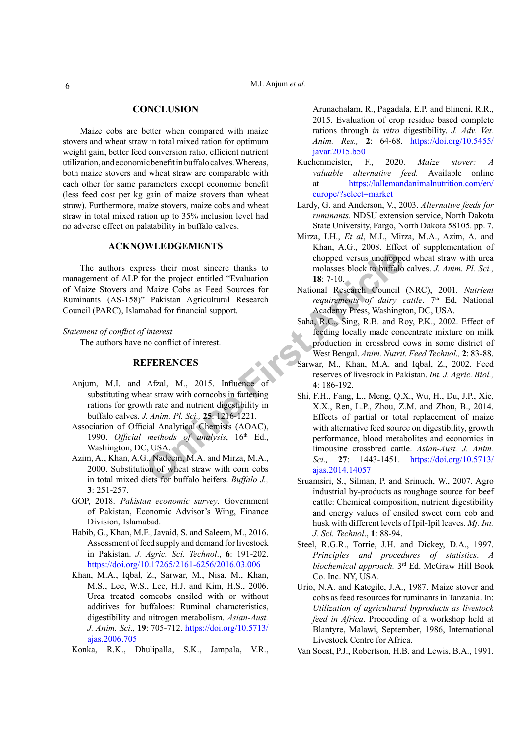# **CONCLUSION**

Maize cobs are better when compared with maize stovers and wheat straw in total mixed ration for optimum weight gain, better feed conversion ratio, efficient nutrient utilization, and economic benefit in buffalo calves. Whereas, both maize stovers and wheat straw are comparable with each other for same parameters except economic benefit (less feed cost per kg gain of maize stovers than wheat straw). Furthermore, maize stovers, maize cobs and wheat straw in total mixed ration up to 35% inclusion level had no adverse effect on palatability in buffalo calves.

# **ACKNOWLEDGEMENTS**

The authors express their most sincere thanks to management of ALP for the project entitled "Evaluation of Maize Stovers and Maize Cobs as Feed Sources for Ruminants (AS-158)" Pakistan Agricultural Research Council (PARC), Islamabad for financial support.

#### *Statement of conflict of interest*

The authors have no conflict of interest.

# **REFERENCES**

- <span id="page-5-8"></span>Anjum, M.I. and Afzal, M., 2015. Influence of substituting wheat straw with corncobs in fattening rations for growth rate and nutrient digestibility in buffalo calves. *J. Anim. Pl. Sci.,* **25**: 1216-1221.
- <span id="page-5-10"></span>Association of Official Analytical Chemists (AOAC), 1990. *Official methods of analysis*, 16<sup>th</sup> Ed., Washington, DC, USA.
- <span id="page-5-14"></span>Azim, A., Khan, A.G., Nadeem, M.A. and Mirza, M.A., 2000. Substitution of wheat straw with corn cobs in total mixed diets for buffalo heifers. *Buffalo J.,*  **3**: 251-257.
- <span id="page-5-6"></span>GOP, 2018. *Pakistan economic survey*. Government of Pakistan, Economic Advisor's Wing, Finance Division, Islamabad.
- <span id="page-5-0"></span>Habib, G., Khan, M.F., Javaid, S. and Saleem, M., 2016. Assessment of feed supply and demand for livestock in Pakistan. *J. Agric. Sci. Technol*., **6**: 191-202. <https://doi.org/10.17265/2161-6256/2016.03.006>
- <span id="page-5-2"></span>Khan, M.A., Iqbal, Z., Sarwar, M., Nisa, M., Khan, M.S., Lee, W.S., Lee, H.J. and Kim, H.S., 2006. Urea treated corncobs ensiled with or without additives for buffaloes: Ruminal characteristics, digestibility and nitrogen metabolism. *Asian-Aust. J. Anim. Sci*., **19**: 705-712. [https://doi.org/10.5713/](https://doi.org/10.5713/ajas.2006.705) [ajas.2006.705](https://doi.org/10.5713/ajas.2006.705)
- <span id="page-5-11"></span><span id="page-5-7"></span>Konka, R.K., Dhulipalla, S.K., Jampala, V.R.,

Arunachalam, R., Pagadala, E.P. and Elineni, R.R., 2015. Evaluation of crop residue based complete rations through *in vitro* digestibility. *J. Adv. Vet. Anim. Res.,* **2**: 64-68. [https://doi.org/10.5455/](https://doi.org/10.5455/javar.2015.b50) [javar.2015.b50](https://doi.org/10.5455/javar.2015.b50)

- <span id="page-5-9"></span>Kuchenmeister, F., 2020. *Maize stover: A valuable alternative feed.* Available online at [https://lallemandanimalnutrition.com/en/](https://lallemandanimalnutrition.com/en/europe/?select=market) [europe/?select=market](https://lallemandanimalnutrition.com/en/europe/?select=market)
- <span id="page-5-15"></span>Lardy, G. and Anderson, V., 2003. *Alternative feeds for ruminants.* NDSU extension service, North Dakota State University, Fargo, North Dakota 58105. pp. 7.
- <span id="page-5-3"></span>Mirza, I.H., *Et al*, M.I., Mirza, M.A., Azim, A. and Khan, A.G., 2008. Effect of supplementation of chopped versus unchopped wheat straw with urea molasses block to buffalo calves. *J. Anim. Pl. Sci.,* **18**: 7-10.
- <span id="page-5-12"></span>National Research Council (NRC), 2001. *Nutrient requirements of dairy cattle*. 7<sup>th</sup> Ed, National Academy Press, Washington, DC, USA.
- <span id="page-5-4"></span>Saha, R.C., Sing, R.B. and Roy, P.K., 2002. Effect of feeding locally made concentrate mixture on milk production in crossbred cows in some district of West Bengal. *Anim. Nutrit. Feed Technol.,* **2**: 83-88.
- <span id="page-5-17"></span><span id="page-5-16"></span><span id="page-5-13"></span><span id="page-5-5"></span><span id="page-5-1"></span>Sarwar, M., Khan, M.A. and Iqbal, Z., 2002. Feed reserves of livestock in Pakistan. *Int. J. Agric. Biol.,*  **4**: 186-192.
- ress their most sincere thanks to<br>
Only the project entitied "Evaluation<br>
Maize Cobs as Feed Sources for<br>
National Research<br>
Maize Cobs as Feed Sources for<br>
Pakistan Agricultural Research<br>
Pakistan Article<br>
Interest requir Shi, F.H., Fang, L., Meng, Q.X., Wu, H., Du, J.P., Xie, X.X., Ren, L.P., Zhou, Z.M. and Zhou, B., 2014. Effects of partial or total replacement of maize with alternative feed source on digestibility, growth performance, blood metabolites and economics in limousine crossbred cattle. *Asian-Aust. J. Anim. Sci.,* **27**: 1443-1451. [https://doi.org/10.5713/](https://doi.org/10.5713/ajas.2014.14057) ajas.2014.14057
	- Sruamsiri, S., Silman, P. and Srinuch, W., 2007. Agro industrial by-products as roughage source for beef cattle: Chemical composition, nutrient digestibility and energy values of ensiled sweet corn cob and husk with different levels of Ipil-Ipil leaves. *Mj. Int. J. Sci. Technol*., **1**: 88-94.
	- Steel, R.G.R., Torrie, J.H. and Dickey, D.A., 1997. *Principles and procedures of statistics*. *A biochemical approach.* 3rd Ed. McGraw Hill Book Co. Inc. NY, USA.
	- Urio, N.A. and Kategile, J.A., 1987. Maize stover and cobs as feed resources for ruminants in Tanzania. In: *Utilization of agricultural byproducts as livestock feed in Africa*. Proceeding of a workshop held at Blantyre, Malawi, September, 1986, International Livestock Centre for Africa.
	- Van Soest, P.J., Robertson, H.B. and Lewis, B.A., 1991.